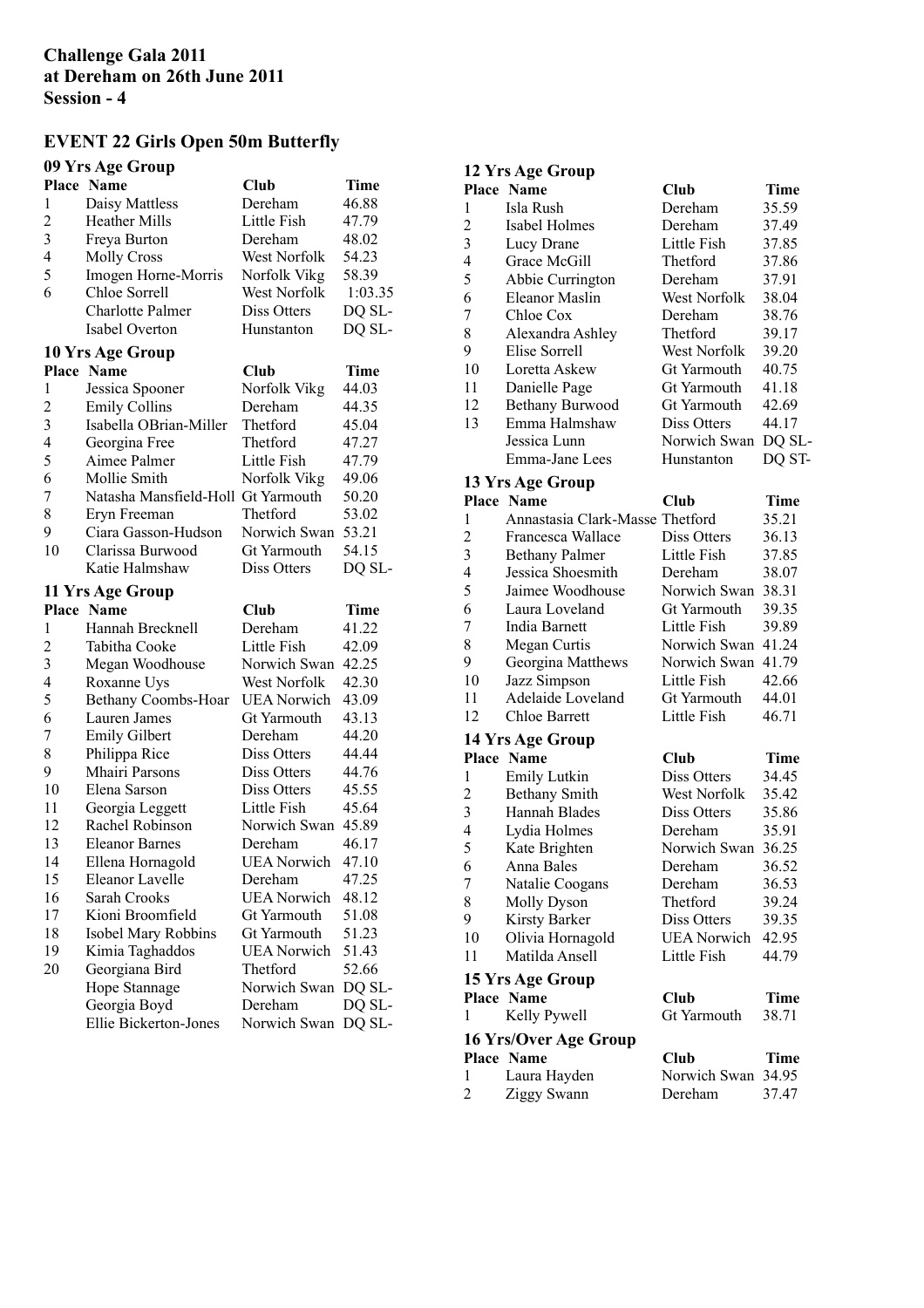## **EVENT 22 Girls Open 50m Butterfly**

### **09 Yrs Age Group**

|                | Place Name                            | <b>Club</b>                       | <b>Time</b>      |
|----------------|---------------------------------------|-----------------------------------|------------------|
| 1              | Daisy Mattless                        | Dereham                           | 46.88            |
| $\overline{c}$ | <b>Heather Mills</b>                  | Little Fish                       | 47.79            |
| 3              | Freya Burton                          | Dereham                           | 48.02            |
| $\overline{4}$ | <b>Molly Cross</b>                    | West Norfolk                      | 54.23            |
| 5              | Imogen Horne-Morris                   | Norfolk Vikg                      | 58.39            |
| 6              | Chloe Sorrell                         | West Norfolk                      | 1:03.35          |
|                | Charlotte Palmer                      | Diss Otters                       | DQ SL-           |
|                | Isabel Overton                        | Hunstanton                        | DQ SL-           |
|                | 10 Yrs Age Group                      |                                   |                  |
|                | Place Name                            | Club                              | Time             |
| 1              | Jessica Spooner                       | Norfolk Vikg                      | 44.03            |
| $\overline{c}$ | <b>Emily Collins</b>                  | Dereham                           | 44.35            |
| 3              | Isabella OBrian-Miller                | Thetford                          | 45.04            |
| $\overline{4}$ | Georgina Free                         | Thetford                          | 47.27            |
| 5              | Aimee Palmer                          | Little Fish                       | 47.79            |
| 6              | Mollie Smith                          | Norfolk Vikg                      | 49.06            |
| 7              | Natasha Mansfield-Holl Gt Yarmouth    |                                   | 50.20            |
| 8              | Eryn Freeman                          | Thetford                          | 53.02            |
| 9              | Ciara Gasson-Hudson                   | Norwich Swan                      | 53.21            |
| 10             | Clarissa Burwood                      | Gt Yarmouth                       | 54.15            |
|                | Katie Halmshaw                        | Diss Otters                       | DQ SL-           |
|                | 11 Yrs Age Group                      |                                   |                  |
|                | <b>Place Name</b>                     | Club                              | <b>Time</b>      |
| $\mathbf{1}$   | Hannah Brecknell                      | Dereham                           | 41.22            |
| $\overline{c}$ | Tabitha Cooke                         | Little Fish                       | 42.09            |
| 3              | Megan Woodhouse                       | Norwich Swan                      | 42.25            |
| $\overline{4}$ | Roxanne Uys                           | West Norfolk                      | 42.30            |
| 5              | Bethany Coombs-Hoar                   | <b>UEA Norwich</b>                | 43.09            |
| 6              | Lauren James                          | Gt Yarmouth                       | 43.13            |
| 7              | <b>Emily Gilbert</b>                  | Dereham                           | 44.20            |
| 8              | Philippa Rice                         | Diss Otters                       | 44.44            |
| 9              | Mhairi Parsons                        | Diss Otters                       | 44.76            |
| 10             |                                       |                                   |                  |
|                |                                       |                                   |                  |
| 11             | Elena Sarson                          | Diss Otters                       | 45.55            |
| 12             | Georgia Leggett                       | Little Fish                       | 45.64            |
| 13             | Rachel Robinson                       | Norwich Swan                      | 45.89            |
| 14             | <b>Eleanor Barnes</b>                 | Dereham                           | 46.17            |
| 15             | Ellena Hornagold                      | <b>UEA</b> Norwich                | 47.10            |
|                | Eleanor Lavelle<br>Sarah Crooks       | Dereham                           | 47.25            |
| 16<br>17       | Kioni Broomfield                      | <b>UEA Norwich</b><br>Gt Yarmouth | 48.12<br>51.08   |
| 18             |                                       | Gt Yarmouth                       | 51.23            |
| 19             | Isobel Mary Robbins                   | <b>UEA Norwich</b>                | 51.43            |
| 20             | Kimia Taghaddos<br>Georgiana Bird     | Thetford                          | 52.66            |
|                |                                       | Norwich Swan                      | DQ SL-           |
|                | Hope Stannage                         | Dereham                           |                  |
|                | Georgia Boyd<br>Ellie Bickerton-Jones | Norwich Swan                      | DQ SL-<br>DQ SL- |

# **12 Yrs Age Group**

|                | Place Name                      | <b>Club</b>  | <b>Time</b> |
|----------------|---------------------------------|--------------|-------------|
| 1              | Isla Rush                       | Dereham      | 35.59       |
| $\overline{c}$ | Isabel Holmes                   | Dereham      | 37.49       |
| 3              | Lucy Drane                      | Little Fish  | 37.85       |
| 4              | Grace McGill                    | Thetford     | 37.86       |
| 5              | Abbie Currington                | Dereham      | 37.91       |
| 6              | Eleanor Maslin                  | West Norfolk | 38.04       |
| 7              | Chloe Cox                       | Dereham      | 38.76       |
| 8              | Alexandra Ashley                | Thetford     | 39.17       |
| 9              | Elise Sorrell                   | West Norfolk | 39.20       |
| 10             | Loretta Askew                   | Gt Yarmouth  | 40.75       |
| 11             | Danielle Page                   | Gt Yarmouth  | 41.18       |
| 12             | <b>Bethany Burwood</b>          | Gt Yarmouth  | 42.69       |
| 13             | Emma Halmshaw                   | Diss Otters  | 44.17       |
|                | Jessica Lunn                    | Norwich Swan | DQ SL-      |
|                | Emma-Jane Lees                  | Hunstanton   | DQ ST-      |
|                | 13 Yrs Age Group                |              |             |
|                | Place Name                      | <b>Club</b>  | Time        |
| 1              | Annastasia Clark-Masse Thetford |              | 35.21       |
| $\overline{c}$ | Francesca Wallace               | Diss Otters  | 36.13       |
| 3              | <b>Bethany Palmer</b>           | Little Fish  | 37.85       |
| 4              | Jessica Shoesmith               | Dereham      | 38.07       |
| 5              | Jaimee Woodhouse                | Norwich Swan | 38.31       |
| 6              | Laura Loveland                  | Gt Yarmouth  | 39.35       |
| 7              | India Barnett                   | Little Fish  | 39.89       |
| 8              | Megan Curtis                    | Norwich Swan | 41.24       |
| 9              | Georgina Matthews               | Norwich Swan | 41.79       |
| 10             | Jazz Simpson                    | Little Fish  | 42.66       |
| 11             | Adelaide Loveland               | Gt Yarmouth  | 44.01       |
| 12             | <b>Chloe Barrett</b>            | Little Fish  | 46.71       |
|                | 14 Yrs Age Group                |              |             |
|                | Place Name                      | <b>Club</b>  | Time        |
| 1              | Emily Lutkin                    | Diss Otters  | 34.45       |
| $\overline{c}$ | <b>Bethany Smith</b>            | West Norfolk | 35.42       |
| 3              | Hannah Blades                   | Diss Otters  | 35.86       |
|                |                                 |              |             |

| ∸              | Demany omnu           | 11 U.J.L. 1 U.L.U.I.N | JJ.TZ |
|----------------|-----------------------|-----------------------|-------|
| 3              | Hannah Blades         | Diss Otters           | 35.86 |
| $\overline{4}$ | Lydia Holmes          | Dereham               | 35.91 |
| 5              | Kate Brighten         | Norwich Swan          | 36.25 |
| 6              | Anna Bales            | Dereham               | 36.52 |
| 7              | Natalie Coogans       | Dereham               | 36.53 |
| 8              | Molly Dyson           | Thetford              | 39.24 |
| 9              | Kirsty Barker         | Diss Otters           | 39.35 |
| 10             | Olivia Hornagold      | <b>UEA Norwich</b>    | 42.95 |
| 11             | Matilda Ansell        | Little Fish           | 44.79 |
|                | 15 Yrs Age Group      |                       |       |
|                | <b>Place Name</b>     | Club                  | Time  |
| 1              | Kelly Pywell          | Gt Yarmouth           | 38.71 |
|                | 16 Yrs/Over Age Group |                       |       |
|                | <b>Place Name</b>     | Club                  | Time  |
| $\mathbf{1}$   | Laura Hayden          | Norwich Swan 34.95    |       |
| 2              | Ziggy Swann           | Dereham               | 37.47 |
|                |                       |                       |       |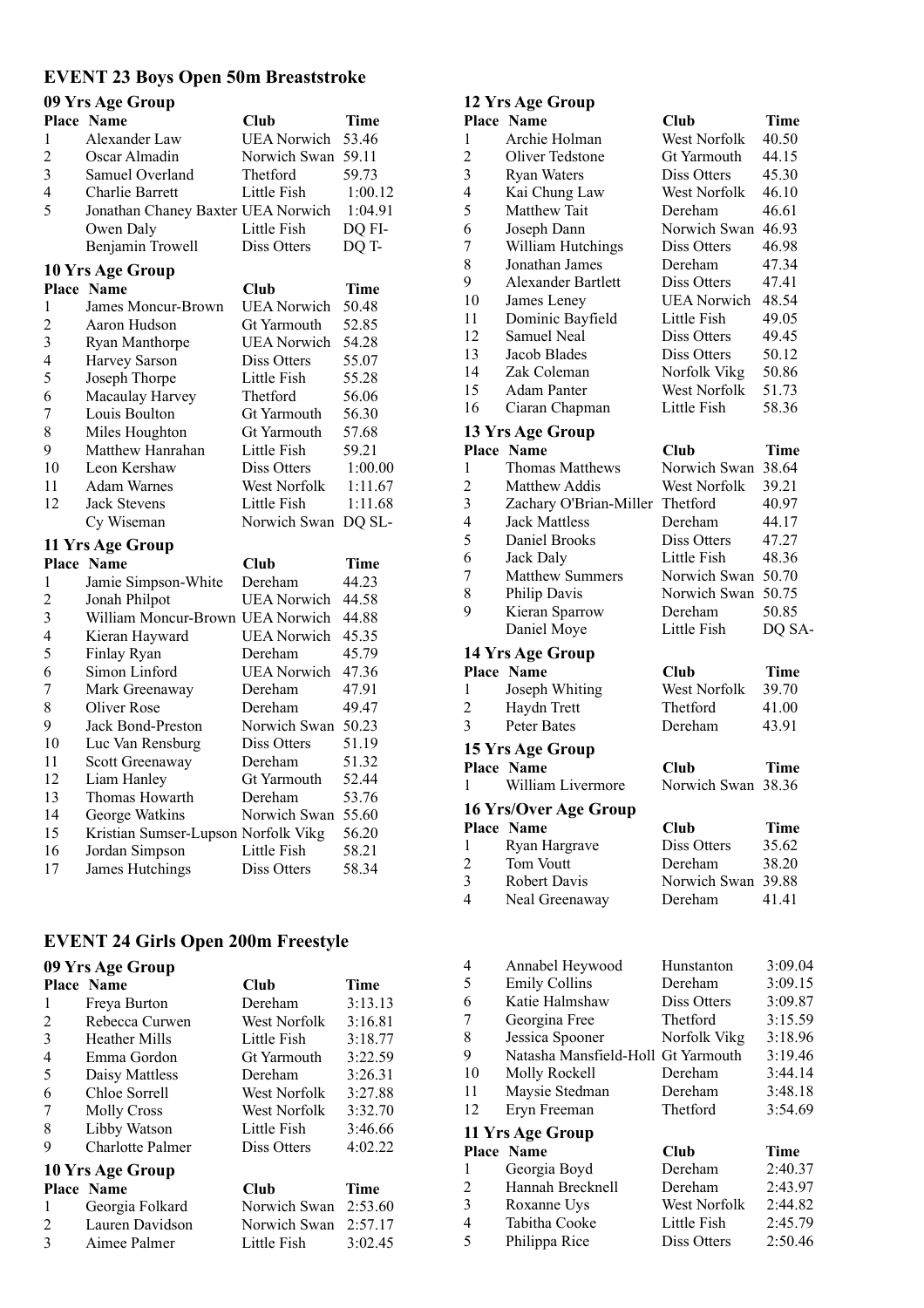## **EVENT 23 Boys Open 50m Breaststroke**

| 09 Yrs Age Group |                                     |                    |             |
|------------------|-------------------------------------|--------------------|-------------|
|                  | <b>Place Name</b>                   | Club               | <b>Time</b> |
| 1                | Alexander Law                       | <b>UEA Norwich</b> | 53.46       |
| $\overline{c}$   | Oscar Almadin                       | Norwich Swan       | 59.11       |
| 3                | Samuel Overland                     | Thetford           | 59.73       |
| 4                | Charlie Barrett                     | Little Fish        | 1:00.12     |
| 5                | Jonathan Chaney Baxter UEA Norwich  |                    | 1:04.91     |
|                  | Owen Daly                           | Little Fish        | DQ FI-      |
|                  | Benjamin Trowell                    | <b>Diss Otters</b> | DQ T-       |
|                  | 10 Yrs Age Group                    |                    |             |
|                  | <b>Place Name</b>                   | Club               | <b>Time</b> |
| 1                | James Moncur-Brown                  | <b>UEA Norwich</b> | 50.48       |
| $\overline{2}$   | Aaron Hudson                        | <b>Gt Yarmouth</b> | 52.85       |
| 3                | Ryan Manthorpe                      | <b>UEA Norwich</b> | 54.28       |
| 4                | Harvey Sarson                       | <b>Diss Otters</b> | 55.07       |
| 5                | Joseph Thorpe                       | Little Fish        | 55.28       |
| 6                | Macaulay Harvey                     | Thetford           | 56.06       |
| 7                | Louis Boulton                       | Gt Yarmouth        | 56.30       |
| 8                | Miles Houghton                      | Gt Yarmouth        | 57.68       |
| 9                | Matthew Hanrahan                    | Little Fish        | 59.21       |
| 10               | Leon Kershaw                        | Diss Otters        | 1:00.00     |
| 11               | <b>Adam Warnes</b>                  | West Norfolk       | 1:11.67     |
| 12               | <b>Jack Stevens</b>                 | Little Fish        | 1:11.68     |
|                  | Cy Wiseman                          | Norwich Swan       | DQ SL-      |
|                  | 11 Yrs Age Group                    |                    |             |
|                  | <b>Place Name</b>                   | Club               | Time        |
| 1                | Jamie Simpson-White                 | Dereham            | 44.23       |
| $\overline{c}$   | Jonah Philpot                       | <b>UEA</b> Norwich | 44.58       |
| 3                | William Moncur-Brown UEA Norwich    |                    | 44.88       |
| 4                | Kieran Hayward                      | <b>UEA Norwich</b> | 45.35       |
| 5                | Finlay Ryan                         | Dereham            | 45.79       |
| 6                | Simon Linford                       | <b>UEA Norwich</b> | 47.36       |
| 7                | Mark Greenaway                      | Dereham            | 47.91       |
| 8                | Oliver Rose                         | Dereham            | 49.47       |
| 9                | <b>Jack Bond-Preston</b>            | Norwich Swan       | 50.23       |
| 10               | Luc Van Rensburg                    | Diss Otters        | 51.19       |
| 11               | Scott Greenaway                     | Dereham            | 51.32       |
| 12               | Liam Hanley                         | Gt Yarmouth        | 52.44       |
| 13               | Thomas Howarth                      | Dereham            | 53.76       |
| 14               | George Watkins                      | Norwich Swan       | 55.60       |
| 15               | Kristian Sumser-Lupson Norfolk Vikg |                    | 56.20       |
| 16               | Jordan Simpson                      | Little Fish        | 58.21       |
| 17               | James Hutchings                     | Diss Otters        | 58.34       |

## **EVENT 24 Girls Open 200m Freestyle**

| 09 Yrs Age Group |                         |                    |         |  |
|------------------|-------------------------|--------------------|---------|--|
|                  | <b>Place Name</b>       | Club               | Time    |  |
| 1                | Freya Burton            | Dereham            | 3:13.13 |  |
| 2                | Rebecca Curwen          | West Norfolk       | 3:16.81 |  |
| 3                | <b>Heather Mills</b>    | Little Fish        | 3:18.77 |  |
| 4                | Emma Gordon             | <b>Gt Yarmouth</b> | 3:22.59 |  |
| 5                | Daisy Mattless          | Dereham            | 3:26.31 |  |
| 6                | Chloe Sorrell           | West Norfolk       | 3:27.88 |  |
| 7                | <b>Molly Cross</b>      | West Norfolk       | 3:32.70 |  |
| 8                | Libby Watson            | Little Fish        | 3:46.66 |  |
| 9                | <b>Charlotte Palmer</b> | Diss Otters        | 4:02.22 |  |
| 10 Yrs Age Group |                         |                    |         |  |
|                  | <b>Place Name</b>       | Club               | Time    |  |
| 1                | Georgia Folkard         | Norwich Swan       | 2:53.60 |  |
| 2                | Lauren Davidson         | Norwich Swan       | 2:57.17 |  |
| 3                | Aimee Palmer            | Little Fish        | 3:02.45 |  |

#### **12 Yrs Age Group**

| Place                   | <b>Name</b>                        | <b>Club</b>             | Time           |
|-------------------------|------------------------------------|-------------------------|----------------|
| 1                       | Archie Holman                      | West Norfolk            | 40.50          |
| $\overline{c}$          | Oliver Tedstone                    | Gt Yarmouth             | 44.15          |
| 3                       | <b>Ryan Waters</b>                 | Diss Otters             | 45.30          |
| 4                       | Kai Chung Law                      | West Norfolk            | 46.10          |
| 5                       | Matthew Tait                       | Dereham                 | 46.61          |
| 6                       | Joseph Dann                        | Norwich Swan            | 46.93          |
| 7                       | William Hutchings                  | Diss Otters             | 46.98          |
| 8                       | Jonathan James                     | Dereham                 | 47.34          |
| 9                       | Alexander Bartlett                 | Diss Otters             | 47.41          |
| 10                      | James Leney                        | <b>UEA Norwich</b>      | 48.54          |
| 11                      | Dominic Bayfield                   | Little Fish             | 49.05          |
| 12                      | <b>Samuel Neal</b>                 | Diss Otters             | 49.45          |
| 13                      | Jacob Blades                       | Diss Otters             | 50.12          |
| 14                      | Zak Coleman                        | Norfolk Vikg            | 50.86          |
| 15                      | <b>Adam Panter</b>                 | West Norfolk            | 51.73          |
| 16                      | Ciaran Chapman                     | Little Fish             | 58.36          |
|                         | 13 Yrs Age Group                   |                         |                |
|                         | Place Name                         | Club                    | Time           |
| 1                       | <b>Thomas Matthews</b>             | Norwich Swan            | 38.64          |
| $\overline{c}$          | <b>Matthew Addis</b>               | West Norfolk            | 39.21          |
| 3                       | Zachary O'Brian-Miller             | Thetford                | 40.97          |
| 4                       | <b>Jack Mattless</b>               | Dereham                 | 44.17          |
| 5                       | Daniel Brooks                      | Diss Otters             | 47.27          |
| 6                       | Jack Daly                          | Little Fish             | 48.36          |
| 7                       | <b>Matthew Summers</b>             | Norwich Swan            | 50.70          |
| 8                       | Philip Davis                       | Norwich Swan            | 50.75          |
| 9                       | Kieran Sparrow                     | Dereham                 | 50.85          |
|                         | Daniel Moye                        | Little Fish             | DQ SA-         |
|                         | 14 Yrs Age Group                   |                         |                |
|                         | Place Name                         | <b>Club</b>             | Time           |
| 1                       | Joseph Whiting                     | West Norfolk            | 39.70          |
| $\overline{\mathbf{c}}$ | Haydn Trett<br>Peter Bates         | Thetford                | 41.00          |
| 3                       |                                    | Dereham                 | 43.91          |
|                         | 15 Yrs Age Group                   |                         |                |
|                         | Place Name<br>William Livermore    | <b>Club</b>             | <b>Time</b>    |
| 1                       |                                    | Norwich Swan 38.36      |                |
|                         | 16 Yrs/Over Age Group              |                         |                |
|                         | Place Name                         | Club                    | Time<br>35.62  |
| 1                       | Ryan Hargrave                      | Diss Otters             |                |
| $\overline{c}$<br>3     | Tom Voutt<br><b>Robert Davis</b>   | Dereham<br>Norwich Swan | 38.20<br>39.88 |
| 4                       | Neal Greenaway                     | Dereham                 | 41.41          |
|                         |                                    |                         |                |
| 4                       | Annabel Heywood                    | Hunstanton              | 3:09.04        |
| 5                       | <b>Emily Collins</b>               | Dereham                 | 3:09.15        |
| 6                       | Katie Halmshaw                     | Diss Otters             | 3:09.87        |
| 7                       | Georgina Free                      | Thetford                | 3:15.59        |
| 8                       | Jessica Spooner                    | Norfolk Vikg            | 3:18.96        |
| 9                       | Natasha Mansfield-Holl Gt Yarmouth |                         | 3:19.46        |
| 10                      | Molly Rockell                      | Dereham                 | 3:44.14        |
| 11                      | Maysie Stedman                     | Dereham                 | 3:48.18        |

**11 Yrs Age Group**

|   | Place Name       | Club                | Time    |
|---|------------------|---------------------|---------|
| 1 | Georgia Boyd     | Dereham             | 2:40.37 |
| 2 | Hannah Brecknell | Dereham             | 2:43.97 |
| 3 | Roxanne Uys      | <b>West Norfolk</b> | 2:44.82 |
| 4 | Tabitha Cooke    | Little Fish         | 2:45.79 |
| 5 | Philippa Rice    | Diss Otters         | 2:50.46 |

Eryn Freeman Thetford 3:54.69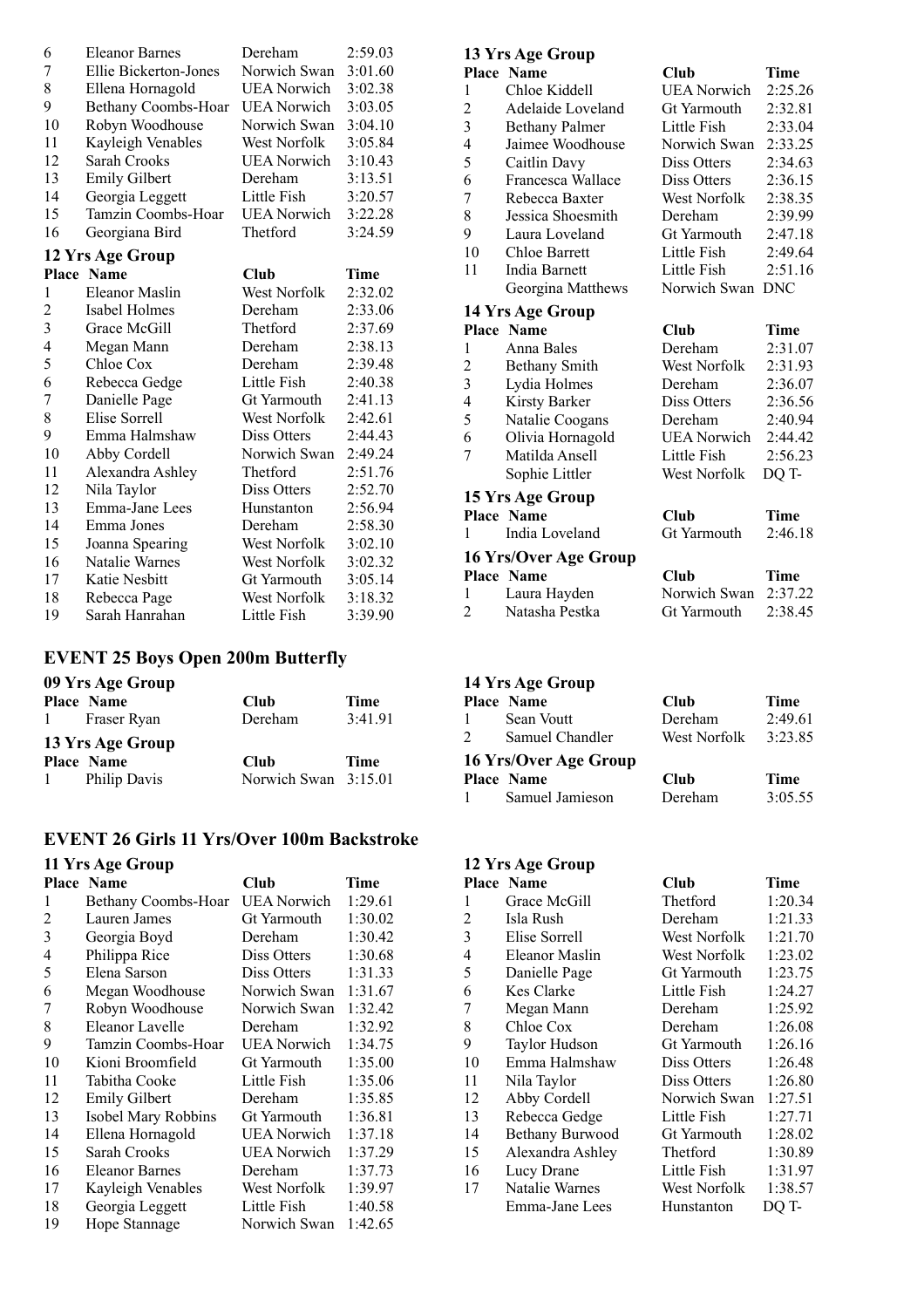| 6                | <b>Eleanor Barnes</b> | Dereham             | 2:59.03 |
|------------------|-----------------------|---------------------|---------|
| 7                | Ellie Bickerton-Jones | Norwich Swan        | 3:01.60 |
| 8                | Ellena Hornagold      | UEA Norwich         | 3:02.38 |
| 9                | Bethany Coombs-Hoar   | <b>UEA</b> Norwich  | 3:03.05 |
| 10               | Robyn Woodhouse       | Norwich Swan        | 3:04.10 |
| 11               | Kayleigh Venables     | <b>West Norfolk</b> | 3:05.84 |
| 12               | Sarah Crooks          | UEA Norwich         | 3:10.43 |
| 13               | <b>Emily Gilbert</b>  | Dereham             | 3:13.51 |
| 14               | Georgia Leggett       | Little Fish         | 3:20.57 |
| 15               | Tamzin Coombs-Hoar    | <b>UEA</b> Norwich  | 3:22.28 |
| 16               | Georgiana Bird        | Thetford            | 3:24.59 |
| 12 Yrs Age Group |                       |                     |         |

|    | <b>Place Name</b> | Club         | Time    |
|----|-------------------|--------------|---------|
| 1  | Eleanor Maslin    | West Norfolk | 2:32.02 |
| 2  | Isabel Holmes     | Dereham      | 2:33.06 |
| 3  | Grace McGill      | Thetford     | 2:37.69 |
| 4  | Megan Mann        | Dereham      | 2:38.13 |
| 5  | Chloe Cox         | Dereham      | 2:39.48 |
| 6  | Rebecca Gedge     | Little Fish  | 2:40.38 |
| 7  | Danielle Page     | Gt Yarmouth  | 2:41.13 |
| 8  | Elise Sorrell     | West Norfolk | 2:42.61 |
| 9  | Emma Halmshaw     | Diss Otters  | 2:44.43 |
| 10 | Abby Cordell      | Norwich Swan | 2:49.24 |
| 11 | Alexandra Ashley  | Thetford     | 2:51.76 |
| 12 | Nila Taylor       | Diss Otters  | 2:52.70 |
| 13 | Emma-Jane Lees    | Hunstanton   | 2:56.94 |
| 14 | Emma Jones        | Dereham      | 2:58.30 |
| 15 | Joanna Spearing   | West Norfolk | 3:02.10 |
| 16 | Natalie Warnes    | West Norfolk | 3:02.32 |
| 17 | Katie Nesbitt     | Gt Yarmouth  | 3:05.14 |
| 18 | Rebecca Page      | West Norfolk | 3:18.32 |
| 19 | Sarah Hanrahan    | Little Fish  | 3:39.90 |

## **EVENT 25 Boys Open 200m Butterfly**

## **09 Yrs Age Group**

|   | <b>Place Name</b>   | Club                 | <b>Time</b> |
|---|---------------------|----------------------|-------------|
| 1 | Fraser Ryan         | Dereham              | 3:41.91     |
|   | 13 Yrs Age Group    |                      |             |
|   | <b>Place Name</b>   | Club                 | <b>Time</b> |
| 1 | <b>Philip Davis</b> | Norwich Swan 3:15.01 |             |

#### **EVENT 26 Girls 11 Yrs/Over 100m Backstroke**

#### **11 Yrs Age Group**

|    | <b>Place Name</b>     | <b>Club</b>        | Time    |
|----|-----------------------|--------------------|---------|
| 1  | Bethany Coombs-Hoar   | <b>UEA Norwich</b> | 1:29.61 |
| 2  | Lauren James          | Gt Yarmouth        | 1:30.02 |
| 3  | Georgia Boyd          | Dereham            | 1:30.42 |
| 4  | Philippa Rice         | Diss Otters        | 1:30.68 |
| 5  | Elena Sarson          | Diss Otters        | 1:31.33 |
| 6  | Megan Woodhouse       | Norwich Swan       | 1:31.67 |
| 7  | Robyn Woodhouse       | Norwich Swan       | 1:32.42 |
| 8  | Eleanor Lavelle       | Dereham            | 1:32.92 |
| 9  | Tamzin Coombs-Hoar    | <b>UEA</b> Norwich | 1:34.75 |
| 10 | Kioni Broomfield      | <b>Gt Yarmouth</b> | 1:35.00 |
| 11 | Tabitha Cooke         | Little Fish        | 1:35.06 |
| 12 | <b>Emily Gilbert</b>  | Dereham            | 1:35.85 |
| 13 | Isobel Mary Robbins   | Gt Yarmouth        | 1:36.81 |
| 14 | Ellena Hornagold      | <b>UEA</b> Norwich | 1:37.18 |
| 15 | Sarah Crooks          | <b>UEA</b> Norwich | 1:37.29 |
| 16 | <b>Eleanor Barnes</b> | Dereham            | 1:37.73 |
| 17 | Kayleigh Venables     | West Norfolk       | 1:39.97 |
| 18 | Georgia Leggett       | Little Fish        | 1:40.58 |
| 19 | Hope Stannage         | Norwich Swan       | 1:42.65 |

#### **13 Yrs Age Group**

|    | <b>Place Name</b>     | Club             | Time    |
|----|-----------------------|------------------|---------|
| 1  | Chloe Kiddell         | UEA Norwich      | 2:25.26 |
| 2  | Adelaide Loveland     | Gt Yarmouth      | 2:32.81 |
| 3  | <b>Bethany Palmer</b> | Little Fish      | 2:33.04 |
| 4  | Jaimee Woodhouse      | Norwich Swan     | 2:33.25 |
| 5  | Caitlin Davy          | Diss Otters      | 2:34.63 |
| 6  | Francesca Wallace     | Diss Otters      | 2:36.15 |
| 7  | Rebecca Baxter        | West Norfolk     | 2:38.35 |
| 8  | Jessica Shoesmith     | Dereham          | 2:39.99 |
| 9  | Laura Loveland        | Gt Yarmouth      | 2:47.18 |
| 10 | Chloe Barrett         | Little Fish      | 2:49.64 |
| 11 | India Barnett         | Little Fish      | 2:51.16 |
|    | Georgina Matthews     | Norwich Swan DNC |         |
|    | 14 Yrs Age Group      |                  |         |
|    | <b>Place Name</b>     | Club             | Time    |
| 1  | Anna Bales            | Dereham          | 2:31.07 |
| 2  | Bethany Smith         | West Norfolk     | 2:31.93 |
| 3  | Lydia Holmes          | Dereham          | 2:36.07 |
| 4  | Kirsty Barker         | Diss Otters      | 2:36.56 |
| 5  | Natalie Coogans       | Dereham          | 2:40.94 |

| 7 | Matilda Ansell        | Little Fish  | 2:56.23 |
|---|-----------------------|--------------|---------|
|   | Sophie Littler        | West Norfolk | DO T-   |
|   | 15 Yrs Age Group      |              |         |
|   | <b>Place Name</b>     | Club         | Time    |
|   | 1 India Loveland      | Gt Yarmouth  | 2:46.18 |
|   | 16 Yrs/Over Age Group |              |         |
|   | <b>Place Name</b>     | <b>Club</b>  | Time    |
|   | 1 Laura Hayden        | Norwich Swan | 2:37.22 |
|   | 2 Natasha Pestka      | Gt Yarmouth  | 2:38.45 |

Olivia Hornagold UEA Norwich 2:44.42

#### **14 Yrs Age Group**

|              | <b>Place Name</b>     | Club         | Time    |
|--------------|-----------------------|--------------|---------|
| 1            | Sean Voutt            | Dereham      | 2:49.61 |
| 2            | Samuel Chandler       | West Norfolk | 3:23.85 |
|              | 16 Yrs/Over Age Group |              |         |
|              | <b>Place Name</b>     | Club         | Time    |
| $\mathbf{1}$ | Samuel Jamieson       | Dereham      | 3:05.55 |

#### **12 Yrs Age Group**

|    | Place Name       | Club         | Time    |
|----|------------------|--------------|---------|
| 1  | Grace McGill     | Thetford     | 1:20.34 |
| 2  | Isla Rush        | Dereham      | 1:21.33 |
| 3  | Elise Sorrell    | West Norfolk | 1:21.70 |
| 4  | Eleanor Maslin   | West Norfolk | 1:23.02 |
| 5  | Danielle Page    | Gt Yarmouth  | 1:23.75 |
| 6  | Kes Clarke       | Little Fish  | 1:24.27 |
| 7  | Megan Mann       | Dereham      | 1:25.92 |
| 8  | Chloe Cox        | Dereham      | 1:26.08 |
| 9  | Taylor Hudson    | Gt Yarmouth  | 1:26.16 |
| 10 | Emma Halmshaw    | Diss Otters  | 1:26.48 |
| 11 | Nila Taylor      | Diss Otters  | 1:26.80 |
| 12 | Abby Cordell     | Norwich Swan | 1:27.51 |
| 13 | Rebecca Gedge    | Little Fish  | 1:27.71 |
| 14 | Bethany Burwood  | Gt Yarmouth  | 1:28.02 |
| 15 | Alexandra Ashley | Thetford     | 1:30.89 |
| 16 | Lucy Drane       | Little Fish  | 1:31.97 |
| 17 | Natalie Warnes   | West Norfolk | 1:38.57 |
|    | Emma-Jane Lees   | Hunstanton   | DO T-   |